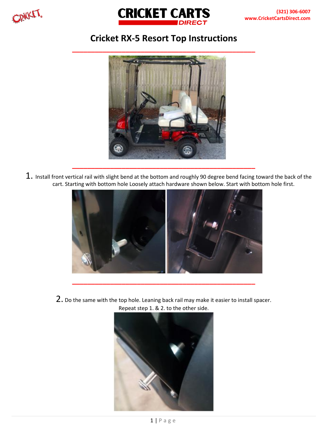



## **Cricket RX-5 Resort Top Instructions**



 $1.$  Install front vertical rail with slight bend at the bottom and roughly 90 degree bend facing toward the back of the cart. Starting with bottom hole Loosely attach hardware shown below. Start with bottom hole first.



2. Do the same with the top hole. Leaning back rail may make it easier to install spacer. Repeat step 1. & 2. to the other side.

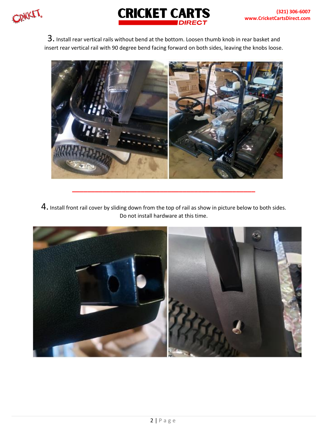CRICKET.



3. Install rear vertical rails without bend at the bottom. Loosen thumb knob in rear basket and insert rear vertical rail with 90 degree bend facing forward on both sides, leaving the knobs loose.



4. Install front rail cover by sliding down from the top of rail as show in picture below to both sides. Do not install hardware at this time.

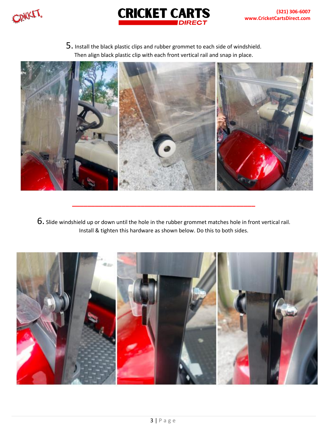CRICKET.



5. Install the black plastic clips and rubber grommet to each side of windshield. Then align black plastic clip with each front vertical rail and snap in place.



6. Slide windshield up or down until the hole in the rubber grommet matches hole in front vertical rail. Install & tighten this hardware as shown below. Do this to both sides.

**\_\_\_\_\_\_\_\_\_\_\_\_\_\_\_\_\_\_\_\_\_\_\_\_\_\_\_\_\_\_\_\_\_\_\_\_\_\_\_\_\_\_\_\_\_\_\_\_**

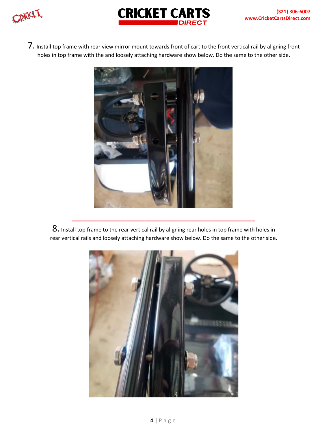



7. Install top frame with rear view mirror mount towards front of cart to the front vertical rail by aligning front holes in top frame with the and loosely attaching hardware show below. Do the same to the other side.



8. Install top frame to the rear vertical rail by aligning rear holes in top frame with holes in rear vertical rails and loosely attaching hardware show below. Do the same to the other side.